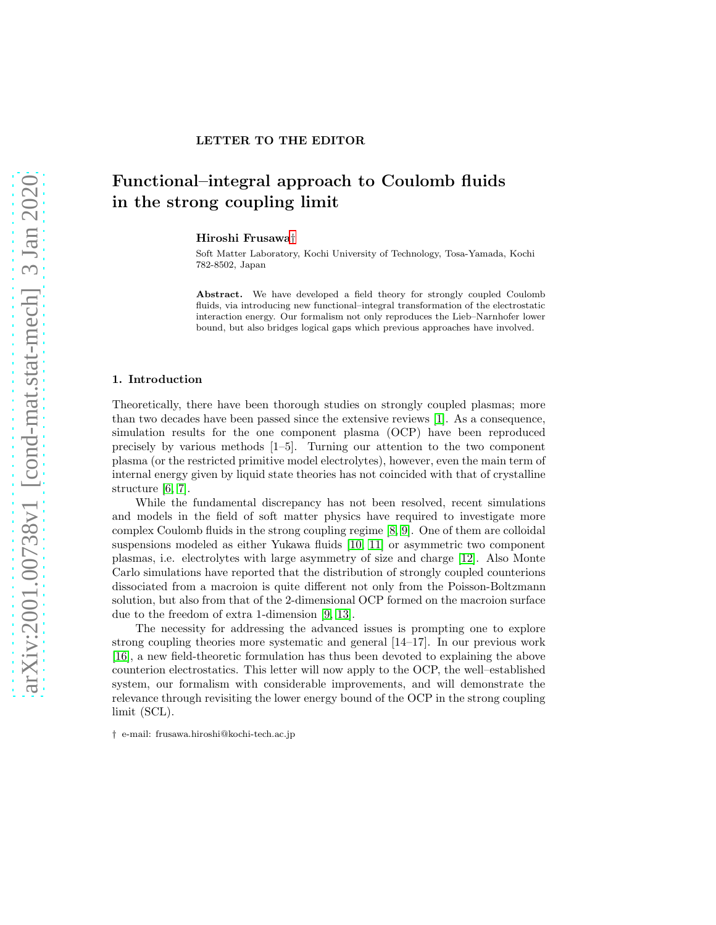# Functional–integral approach to Coulomb fluids in the strong coupling limit

Hiroshi Frusawa[†](#page-0-0)

LETTER TO THE EDITOR

Soft Matter Laboratory, Kochi University of Technology, Tosa-Yamada, Kochi 782-8502, Japan

Abstract. We have developed a field theory for strongly coupled Coulomb fluids, via introducing new functional–integral transformation of the electrostatic interaction energy. Our formalism not only reproduces the Lieb–Narnhofer lower bound, but also bridges logical gaps which previous approaches have involved.

## 1. Introduction

Theoretically, there have been thorough studies on strongly coupled plasmas; more than two decades have been passed since the extensive reviews [\[1\]](#page-6-0). As a consequence, simulation results for the one component plasma (OCP) have been reproduced precisely by various methods [1–5]. Turning our attention to the two component plasma (or the restricted primitive model electrolytes), however, even the main term of internal energy given by liquid state theories has not coincided with that of crystalline structure [\[6,](#page-6-1) [7\]](#page-6-2).

While the fundamental discrepancy has not been resolved, recent simulations and models in the field of soft matter physics have required to investigate more complex Coulomb fluids in the strong coupling regime [\[8,](#page-6-3) [9\]](#page-6-4). One of them are colloidal suspensions modeled as either Yukawa fluids [\[10,](#page-6-5) [11\]](#page-6-6) or asymmetric two component plasmas, i.e. electrolytes with large asymmetry of size and charge [\[12\]](#page-6-7). Also Monte Carlo simulations have reported that the distribution of strongly coupled counterions dissociated from a macroion is quite different not only from the Poisson-Boltzmann solution, but also from that of the 2-dimensional OCP formed on the macroion surface due to the freedom of extra 1-dimension [\[9,](#page-6-4) [13\]](#page-6-8).

The necessity for addressing the advanced issues is prompting one to explore strong coupling theories more systematic and general [14–17]. In our previous work [\[16\]](#page-6-9), a new field-theoretic formulation has thus been devoted to explaining the above counterion electrostatics. This letter will now apply to the OCP, the well–established system, our formalism with considerable improvements, and will demonstrate the relevance through revisiting the lower energy bound of the OCP in the strong coupling limit (SCL).

<span id="page-0-0"></span><sup>†</sup> e-mail: frusawa.hiroshi@kochi-tech.ac.jp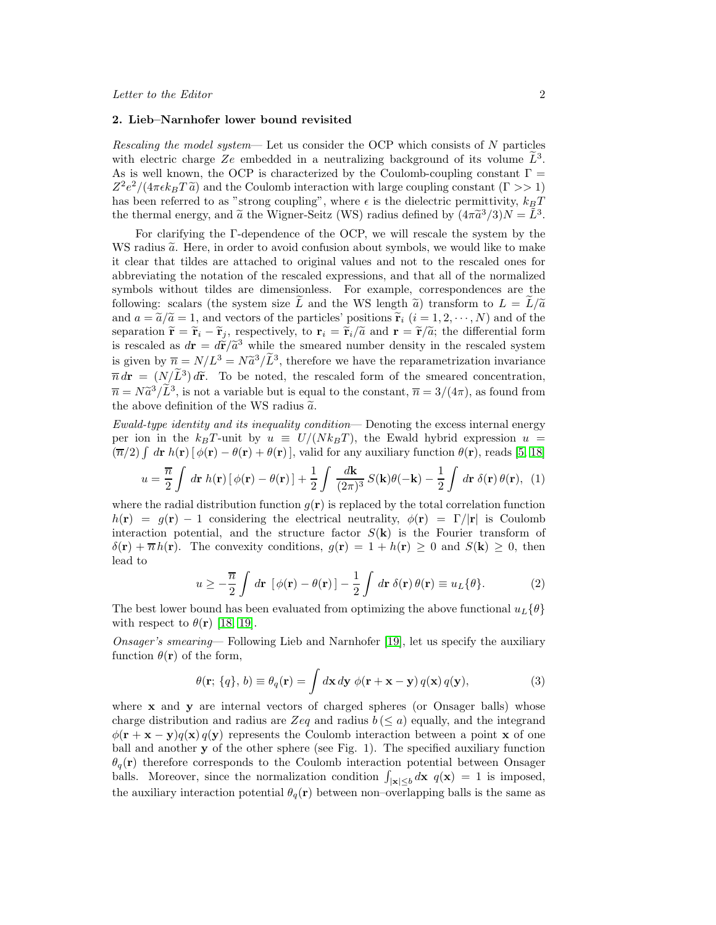#### 2. Lieb–Narnhofer lower bound revisited

*Rescaling the model system*— Let us consider the OCP which consists of N particles with electric charge  $Ze$  embedded in a neutralizing background of its volume  $\tilde{L}^3$ . As is well known, the OCP is characterized by the Coulomb-coupling constant  $\Gamma =$  $Z^2 e^2/(4\pi \epsilon k_B T \tilde{a})$  and the Coulomb interaction with large coupling constant  $(\Gamma >> 1)$ has been referred to as "strong coupling", where  $\epsilon$  is the dielectric permittivity,  $k_BT$ the thermal energy, and  $\tilde{a}$  the Wigner-Seitz (WS) radius defined by  $(4\pi \tilde{a}^3/3)N = \tilde{L}^3$ .

For clarifying the Γ-dependence of the OCP, we will rescale the system by the WS radius  $\tilde{a}$ . Here, in order to avoid confusion about symbols, we would like to make it clear that tildes are attached to original values and not to the rescaled ones for abbreviating the notation of the rescaled expressions, and that all of the normalized symbols without tildes are dimensionless. For example, correspondences are the following: scalars (the system size L and the WS length  $\tilde{a}$ ) transform to  $L = L/\tilde{a}$ and  $a = \tilde{a}/\tilde{a} = 1$ , and vectors of the particles' positions  $\tilde{r}_i$   $(i = 1, 2, \dots, N)$  and of the separation  $\tilde{\mathbf{r}} = \tilde{\mathbf{r}}_i - \tilde{\mathbf{r}}_j$ , respectively, to  $\mathbf{r}_i = \tilde{\mathbf{r}}_i/\tilde{a}$  and  $\mathbf{r} = \tilde{\mathbf{r}}/\tilde{a}$ ; the differential form is rescaled as  $d\mathbf{r} = d\tilde{\mathbf{r}}/\tilde{a}^3$  while the smeared number density in the rescaled system is given by  $\overline{n} = N/L^3 = N\tilde{a}^3/\tilde{L}^3$ , therefore we have the reparametrization invariance  $\overline{n} d\mathbf{r} = (N/\tilde{L}^3) d\tilde{\mathbf{r}}$ . To be noted, the rescaled form of the smeared concentration,  $\overline{n} = N\tilde{a}^3/\tilde{L}^3$ , is not a variable but is equal to the constant,  $\overline{n} = 3/(4\pi)$ , as found from the above definition of the WS radius  $\tilde{a}$ .

*Ewald-type identity and its inequality condition*— Denoting the excess internal energy per ion in the  $k_BT$ -unit by  $u \equiv U/(Nk_BT)$ , the Ewald hybrid expression  $u =$  $(\overline{n}/2)$   $\int d\mathbf{r} h(\mathbf{r}) [\phi(\mathbf{r}) - \theta(\mathbf{r}) + \theta(\mathbf{r})]$ , valid for any auxiliary function  $\theta(\mathbf{r})$ , reads [\[5,](#page-6-10) [18\]](#page-6-11)

$$
u = \frac{\overline{n}}{2} \int d\mathbf{r} \ h(\mathbf{r}) \left[ \phi(\mathbf{r}) - \theta(\mathbf{r}) \right] + \frac{1}{2} \int \frac{d\mathbf{k}}{(2\pi)^3} S(\mathbf{k}) \theta(-\mathbf{k}) - \frac{1}{2} \int d\mathbf{r} \ \delta(\mathbf{r}) \theta(\mathbf{r}), \tag{1}
$$

where the radial distribution function  $q(\mathbf{r})$  is replaced by the total correlation function  $h(\mathbf{r}) = g(\mathbf{r}) - 1$  considering the electrical neutrality,  $\phi(\mathbf{r}) = \Gamma/|\mathbf{r}|$  is Coulomb interaction potential, and the structure factor  $S(\mathbf{k})$  is the Fourier transform of  $\delta(\mathbf{r}) + \overline{n} h(\mathbf{r})$ . The convexity conditions,  $g(\mathbf{r}) = 1 + h(\mathbf{r}) \geq 0$  and  $S(\mathbf{k}) \geq 0$ , then lead to

<span id="page-1-0"></span>
$$
u \geq -\frac{\overline{n}}{2} \int d\mathbf{r} \, \left[ \phi(\mathbf{r}) - \theta(\mathbf{r}) \right] - \frac{1}{2} \int d\mathbf{r} \, \delta(\mathbf{r}) \, \theta(\mathbf{r}) \equiv u_L \{ \theta \}. \tag{2}
$$

The best lower bound has been evaluated from optimizing the above functional  $u_L{\theta}$ with respect to  $\theta(\mathbf{r})$  [\[18,](#page-6-11) [19\]](#page-6-12).

*Onsager's smearing*— Following Lieb and Narnhofer [\[19\]](#page-6-12), let us specify the auxiliary function  $\theta(\mathbf{r})$  of the form,

<span id="page-1-1"></span>
$$
\theta(\mathbf{r}; \{q\}, b) \equiv \theta_q(\mathbf{r}) = \int d\mathbf{x} \, d\mathbf{y} \, \phi(\mathbf{r} + \mathbf{x} - \mathbf{y}) \, q(\mathbf{x}) \, q(\mathbf{y}), \tag{3}
$$

where x and y are internal vectors of charged spheres (or Onsager balls) whose charge distribution and radius are Zeq and radius  $b \ (< a)$  equally, and the integrand  $\phi(\mathbf{r} + \mathbf{x} - \mathbf{y})q(\mathbf{x})q(\mathbf{y})$  represents the Coulomb interaction between a point x of one ball and another y of the other sphere (see Fig. 1). The specified auxiliary function  $\theta_q(\mathbf{r})$  therefore corresponds to the Coulomb interaction potential between Onsager balls. Moreover, since the normalization condition  $\int_{|\mathbf{x}| \leq b} d\mathbf{x}$   $q(\mathbf{x}) = 1$  is imposed, the auxiliary interaction potential  $\theta_q(\mathbf{r})$  between non–overlapping balls is the same as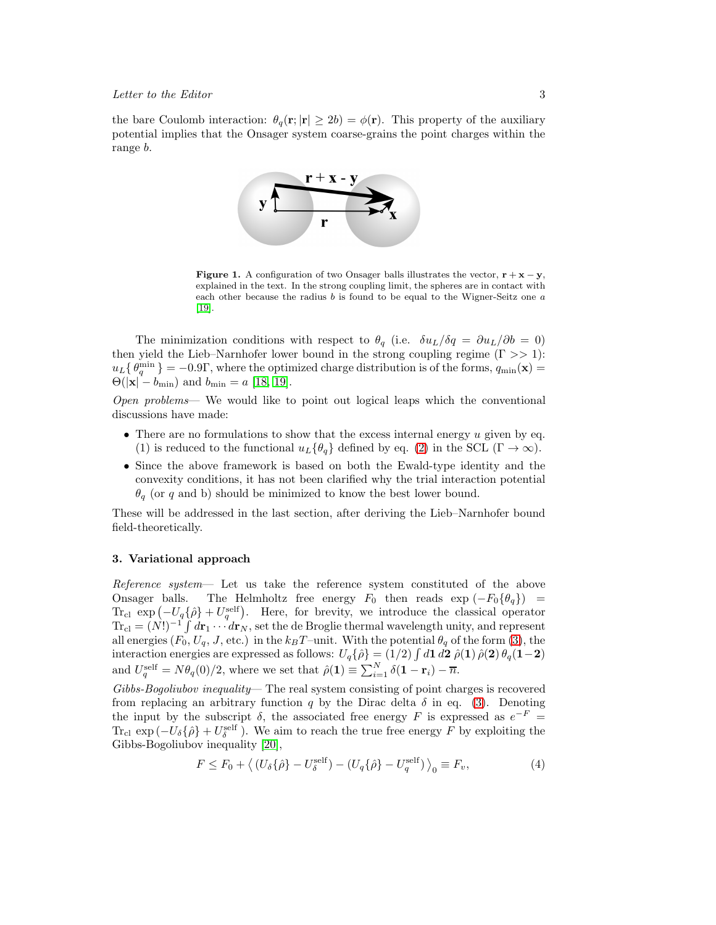the bare Coulomb interaction:  $\theta_q(\mathbf{r};|\mathbf{r}| \geq 2b) = \phi(\mathbf{r})$ . This property of the auxiliary potential implies that the Onsager system coarse-grains the point charges within the range b.



**Figure 1.** A configuration of two Onsager balls illustrates the vector,  $\mathbf{r} + \mathbf{x} - \mathbf{y}$ , explained in the text. In the strong coupling limit, the spheres are in contact with each other because the radius  $b$  is found to be equal to the Wigner-Seitz one  $a$ [\[19\]](#page-6-12).

The minimization conditions with respect to  $\theta_q$  (i.e.  $\delta u_L/\delta q = \partial u_L/\partial b = 0$ ) then yield the Lieb–Narnhofer lower bound in the strong coupling regime  $(Γ >> 1)$ :  $u_L\{\theta_q^{\min}\} = -0.9\Gamma$ , where the optimized charge distribution is of the forms,  $q_{\min}(\mathbf{x}) =$  $\Theta(|\mathbf{x}| - b_{\min})$  and  $b_{\min} = a$  [\[18,](#page-6-11) [19\]](#page-6-12).

*Open problems*— We would like to point out logical leaps which the conventional discussions have made:

- There are no formulations to show that the excess internal energy  $u$  given by eq. (1) is reduced to the functional  $u_L{\theta_q}$  defined by eq. [\(2\)](#page-1-0) in the SCL ( $\Gamma \to \infty$ ).
- Since the above framework is based on both the Ewald-type identity and the convexity conditions, it has not been clarified why the trial interaction potential  $\theta_q$  (or q and b) should be minimized to know the best lower bound.

These will be addressed in the last section, after deriving the Lieb–Narnhofer bound field-theoretically.

## 3. Variational approach

*Reference system*— Let us take the reference system constituted of the above Onsager balls. The Helmholtz free energy  $F_0$  then reads  $\exp(-F_0\{\theta_q\})$  = Tr<sub>cl</sub> exp  $\left(-U_q\{\hat{\rho}\}+U_q^{\text{self}}\right)$ . Here, for brevity, we introduce the classical operator  $Tr_{\text{cl}} = (N!)^{-1} \int d\mathbf{r}_1 \cdots d\mathbf{r}_N$ , set the de Broglie thermal wavelength unity, and represent all energies  $(F_0, U_q, J, \text{etc.})$  in the  $k_B T$ -unit. With the potential  $\theta_q$  of the form [\(3\)](#page-1-1), the interaction energies are expressed as follows:  $U_q\{\hat{\rho}\} = (1/2) \int d\mathbf{1} d\mathbf{2} \hat{\rho}(\mathbf{1}) \hat{\rho}(\mathbf{2}) \theta_q(\mathbf{1} - \mathbf{2})$ and  $U_q^{\text{self}} = N\theta_q(0)/2$ , where we set that  $\hat{\rho}(1) \equiv \sum_{i=1}^{N} \delta(1 - \mathbf{r}_i) - \overline{n}$ .

*Gibbs-Bogoliubov inequality*— The real system consisting of point charges is recovered from replacing an arbitrary function q by the Dirac delta  $\delta$  in eq. [\(3\)](#page-1-1). Denoting the input by the subscript  $\delta$ , the associated free energy F is expressed as  $e^{-F}$  =  $\text{Tr}_{\text{cl}} \, \exp\left(-U_{\delta}\{\hat{\rho}\} + U_{\delta}^{\text{self}}\right)$  $\delta^{\text{self}}_{\delta}$ ). We aim to reach the true free energy F by exploiting the Gibbs-Bogoliubov inequality [\[20\]](#page-6-13),

<span id="page-2-0"></span>
$$
F \le F_0 + \langle (U_\delta \{\hat{\rho}\} - U_\delta^{\text{self}}) - (U_q \{\hat{\rho}\} - U_q^{\text{self}}) \rangle_0 \equiv F_v,
$$
\n(4)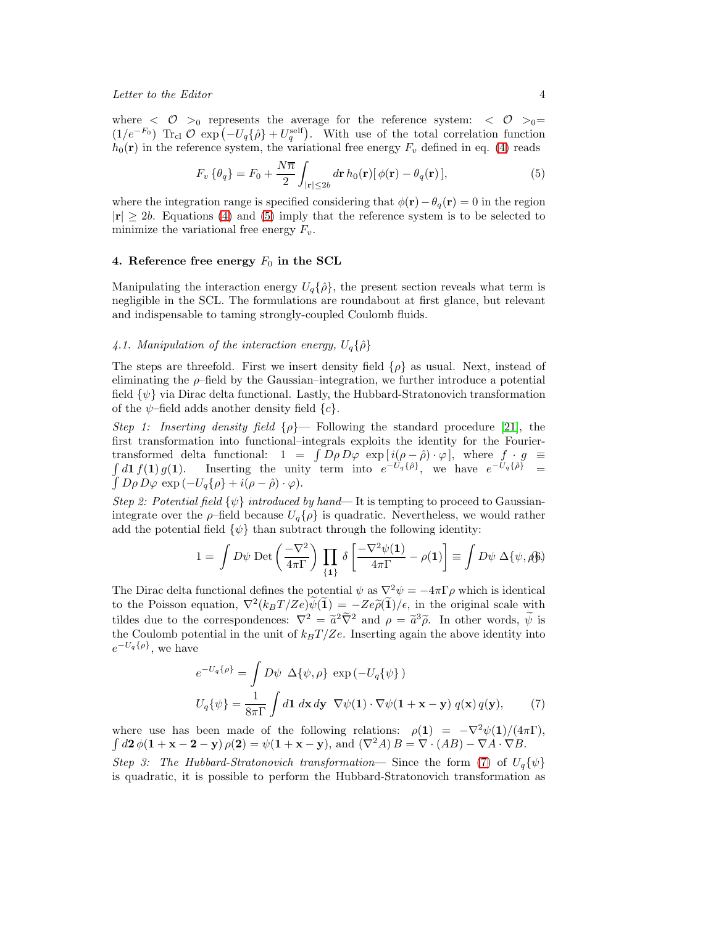where  $\langle \mathcal{O} \rangle_0$  represents the average for the reference system:  $\langle \mathcal{O} \rangle_0 =$  $(1/e^{-F_0})$  Tr<sub>cl</sub>  $\mathcal{O}$  exp  $(-U_q\{\hat{\rho}\}+U_q^{\text{self}})$ . With use of the total correlation function  $h_0(\mathbf{r})$  in the reference system, the variational free energy  $F_v$  defined in eq. [\(4\)](#page-2-0) reads

<span id="page-3-0"></span>
$$
F_v\left\{\theta_q\right\} = F_0 + \frac{N\overline{n}}{2} \int_{|\mathbf{r}| \le 2b} d\mathbf{r} \, h_0(\mathbf{r}) \left[\phi(\mathbf{r}) - \theta_q(\mathbf{r})\right],\tag{5}
$$

where the integration range is specified considering that  $\phi(\mathbf{r}) - \theta_q(\mathbf{r}) = 0$  in the region  $|\mathbf{r}| \geq 2b$ . Equations [\(4\)](#page-2-0) and [\(5\)](#page-3-0) imply that the reference system is to be selected to minimize the variational free energy  $F_v$ .

#### 4. Reference free energy  $F_0$  in the SCL

Manipulating the interaction energy  $U_q\{\hat{\rho}\}\,$ , the present section reveals what term is negligible in the SCL. The formulations are roundabout at first glance, but relevant and indispensable to taming strongly-coupled Coulomb fluids.

## 4.1. Manipulation of the interaction energy,  $U_q\{\hat{\rho}\}$

The steps are threefold. First we insert density field  $\{\rho\}$  as usual. Next, instead of eliminating the  $\rho$ -field by the Gaussian–integration, we further introduce a potential field  $\{\psi\}$  via Dirac delta functional. Lastly, the Hubbard-Stratonovich transformation of the  $\psi$ -field adds another density field  $\{c\}$ .

*Step 1: Inserting density field* {ρ}— Following the standard procedure [\[21\]](#page-6-14), the first transformation into functional–integrals exploits the identity for the Fouriertransformed delta functional:  $1 = \int D\rho D\varphi \exp[i(\rho - \hat{\rho}) \cdot \varphi]$ , where  $f \cdot g \equiv \int d\mathbf{1} f(\mathbf{1}) g(\mathbf{1})$ . Inserting the unity term into  $e^{-U_q\{\hat{\rho}\}}$ , we have  $e^{-U_q\{\hat{\rho}\}} = \int D\rho D\varphi \exp(-U_q\{\hat{\rho}\} + i(\rho - \hat{\rho}) \cdot \varphi)$ .  $\int D\rho D\varphi \exp(-U_q\{\rho\} + i(\rho - \hat{\rho}) \cdot \varphi).$ 

*Step 2: Potential field* {ψ} *introduced by hand*— It is tempting to proceed to Gaussianintegrate over the  $\rho$ -field because  $U_q\{\rho\}$  is quadratic. Nevertheless, we would rather add the potential field  $\{\psi\}$  than subtract through the following identity:

<span id="page-3-2"></span>
$$
1 = \int D\psi \,\mathrm{Det}\left(\frac{-\nabla^2}{4\pi\Gamma}\right) \prod_{\{1\}} \delta\left[\frac{-\nabla^2\psi(1)}{4\pi\Gamma} - \rho(1)\right] \equiv \int D\psi \,\Delta\{\psi,\beta\}
$$

The Dirac delta functional defines the potential  $\psi$  as  $\nabla^2 \psi = -4\pi \Gamma \rho$  which is identical to the Poisson equation,  $\nabla^2 (k_B T/Ze) \widetilde{\psi}(\widetilde{\mathbf{1}}) = -Ze \widetilde{\rho}(\widetilde{\mathbf{1}})/\epsilon$ , in the original scale with tildes due to the correspondences:  $\nabla^2 = \tilde{a}^2 \tilde{\nabla}^2$  and  $\rho = \tilde{a}^3 \tilde{\rho}$ . In other words,  $\tilde{\psi}$  is the Coulomb potential in the unit of  $k_BT/Ze$ . Inserting again the above identity into  $e^{-U_q\{\rho\}},$  we have

<span id="page-3-1"></span>
$$
e^{-U_q\{\rho\}} = \int D\psi \Delta\{\psi, \rho\} \exp(-U_q\{\psi\})
$$
  

$$
U_q\{\psi\} = \frac{1}{8\pi\Gamma} \int d\mathbf{1} \,d\mathbf{x} \,d\mathbf{y} \ \nabla\psi(\mathbf{1}) \cdot \nabla\psi(\mathbf{1} + \mathbf{x} - \mathbf{y}) \,q(\mathbf{x}) \,q(\mathbf{y}), \tag{7}
$$

where use has been made of the following relations:  $\rho(1) = -\nabla^2 \psi(1)/(4\pi\Gamma)$ ,  $\int d\mathbf{2} \phi(\mathbf{1} + \mathbf{x} - \mathbf{2} - \mathbf{y}) \rho(\mathbf{2}) = \psi(\mathbf{1} + \mathbf{x} - \mathbf{y}), \text{ and } (\nabla^2 A) B = \nabla \cdot (AB) - \nabla A \cdot \nabla B.$ 

*Step 3: The Hubbard-Stratonovich transformation*— Since the form [\(7\)](#page-3-1) of  $U_q\{\psi\}$ is quadratic, it is possible to perform the Hubbard-Stratonovich transformation as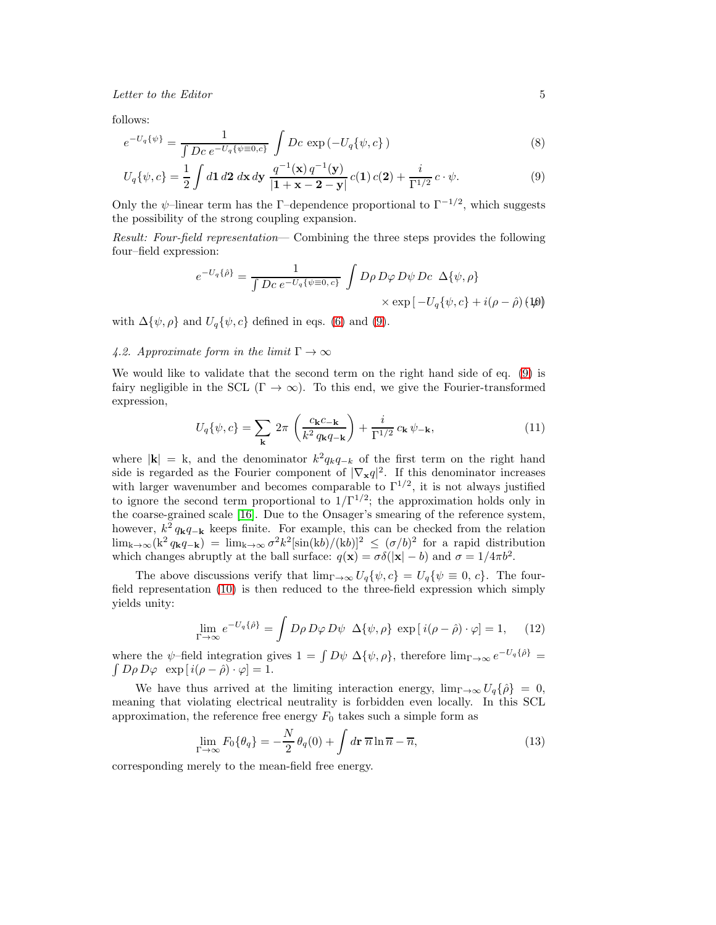follows:

<span id="page-4-0"></span>
$$
e^{-U_q\{\psi\}} = \frac{1}{\int Dc \ e^{-U_q\{\psi \equiv 0, c\}}} \int Dc \ \exp\left(-U_q\{\psi, c\}\right) \tag{8}
$$

$$
U_q\{\psi, c\} = \frac{1}{2} \int d\mathbf{1} \, d\mathbf{2} \, d\mathbf{x} \, d\mathbf{y} \, \frac{q^{-1}(\mathbf{x}) \, q^{-1}(\mathbf{y})}{|\mathbf{1} + \mathbf{x} - \mathbf{2} - \mathbf{y}|} \, c(\mathbf{1}) \, c(\mathbf{2}) + \frac{i}{\Gamma^{1/2}} \, c \cdot \psi. \tag{9}
$$

Only the  $\psi$ -linear term has the Γ-dependence proportional to  $\Gamma^{-1/2}$ , which suggests the possibility of the strong coupling expansion.

*Result: Four-field representation*— Combining the three steps provides the following four–field expression:

<span id="page-4-1"></span>
$$
e^{-U_q\{\hat{\rho}\}} = \frac{1}{\int Dc \ e^{-U_q\{\psi \equiv 0, c\}}} \int D\rho D\varphi D\psi Dc \ \Delta\{\psi, \rho\}
$$

$$
\times \exp[-U_q\{\psi, c\} + i(\rho - \hat{\rho})(\psi)]
$$

with  $\Delta\{\psi, \rho\}$  and  $U_q\{\psi, c\}$  defined in eqs. [\(6\)](#page-3-2) and [\(9\)](#page-4-0).

## *4.2. Approximate form in the limit*  $\Gamma \to \infty$

We would like to validate that the second term on the right hand side of eq. [\(9\)](#page-4-0) is fairy negligible in the SCL ( $\Gamma \to \infty$ ). To this end, we give the Fourier-transformed expression,

$$
U_q\{\psi, c\} = \sum_{\mathbf{k}} 2\pi \left(\frac{c_{\mathbf{k}}c_{-\mathbf{k}}}{k^2 q_{\mathbf{k}}q_{-\mathbf{k}}}\right) + \frac{i}{\Gamma^{1/2}} c_{\mathbf{k}} \psi_{-\mathbf{k}},\tag{11}
$$

where  $|\mathbf{k}| = k$ , and the denominator  $k^2 q_k q_{-k}$  of the first term on the right hand side is regarded as the Fourier component of  $|\nabla_{\mathbf{x}} q|^2$ . If this denominator increases with larger wavenumber and becomes comparable to  $\Gamma^{1/2}$ , it is not always justified to ignore the second term proportional to  $1/\Gamma^{1/2}$ ; the approximation holds only in the coarse-grained scale [\[16\]](#page-6-9). Due to the Onsager's smearing of the reference system, however,  $k^2 q_{\bf k} q_{-\bf k}$  keeps finite. For example, this can be checked from the relation  $\lim_{k\to\infty}$   $(k^2 q_k q_{-k}) = \lim_{k\to\infty} \frac{\sigma^2 k^2[\sin(kb)/(kb)]^2}{(kb)^2} \leq (\sigma/b)^2$  for a rapid distribution which changes abruptly at the ball surface:  $q(\mathbf{x}) = \sigma \delta(|\mathbf{x}| - b)$  and  $\sigma = 1/4\pi b^2$ .

The above discussions verify that  $\lim_{\Gamma\to\infty} U_q\{\psi, c\} = U_q\{\psi \equiv 0, c\}$ . The fourfield representation [\(10\)](#page-4-1) is then reduced to the three-field expression which simply yields unity:

$$
\lim_{\Gamma \to \infty} e^{-U_q \{\hat{\rho}\}} = \int D\rho D\varphi D\psi \ \Delta\{\psi, \rho\} \ \exp[i(\rho - \hat{\rho}) \cdot \varphi] = 1, \quad (12)
$$

where the  $\psi$ -field integration gives  $1 = \int D\psi \, \Delta\{\psi, \rho\}$ , therefore  $\lim_{\Gamma \to \infty} e^{-U_q \{\hat{\rho}\}} = \int D\phi \, D\omega \, \exp[i(\rho - \hat{\rho}) \cdot \omega] = 1$ .  $\int D\rho D\varphi \exp[i(\rho - \hat{\rho}) \cdot \varphi] = 1.$ 

We have thus arrived at the limiting interaction energy,  $\lim_{\Gamma \to \infty} U_q \{\hat{\rho}\} = 0$ , meaning that violating electrical neutrality is forbidden even locally. In this SCL approximation, the reference free energy  $F_0$  takes such a simple form as

<span id="page-4-2"></span>
$$
\lim_{\Gamma \to \infty} F_0 \{ \theta_q \} = -\frac{N}{2} \theta_q(0) + \int d\mathbf{r} \, \overline{n} \ln \overline{n} - \overline{n}, \tag{13}
$$

corresponding merely to the mean-field free energy.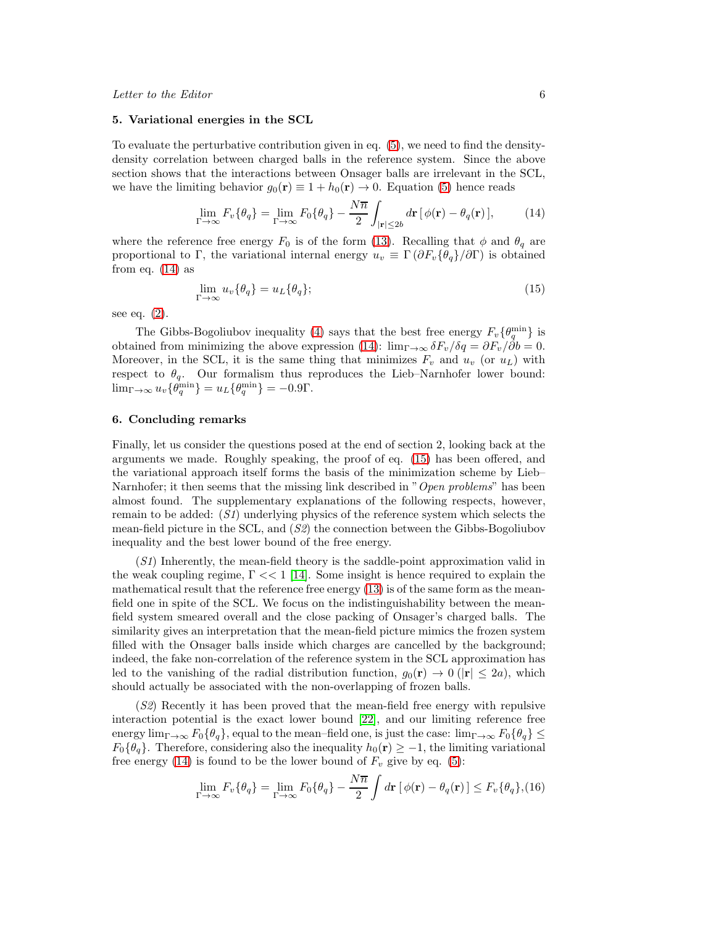#### 5. Variational energies in the SCL

To evaluate the perturbative contribution given in eq. [\(5\)](#page-3-0), we need to find the densitydensity correlation between charged balls in the reference system. Since the above section shows that the interactions between Onsager balls are irrelevant in the SCL, we have the limiting behavior  $g_0(\mathbf{r}) \equiv 1 + h_0(\mathbf{r}) \rightarrow 0$ . Equation [\(5\)](#page-3-0) hence reads

<span id="page-5-0"></span>
$$
\lim_{\Gamma \to \infty} F_v \{ \theta_q \} = \lim_{\Gamma \to \infty} F_0 \{ \theta_q \} - \frac{N \overline{n}}{2} \int_{|\mathbf{r}| \le 2b} d\mathbf{r} \left[ \phi(\mathbf{r}) - \theta_q(\mathbf{r}) \right],\tag{14}
$$

where the reference free energy  $F_0$  is of the form [\(13\)](#page-4-2). Recalling that  $\phi$  and  $\theta_q$  are proportional to Γ, the variational internal energy  $u_v \equiv \Gamma(\partial F_v{\{\theta_q\}}/\partial \Gamma)$  is obtained from eq.  $(14)$  as

<span id="page-5-1"></span>
$$
\lim_{\Gamma \to \infty} u_v \{ \theta_q \} = u_L \{ \theta_q \};\tag{15}
$$

see eq. [\(2\)](#page-1-0).

The Gibbs-Bogoliubov inequality [\(4\)](#page-2-0) says that the best free energy  $F_v\{\theta_q^{\min}\}\$ is obtained from minimizing the above expression [\(14\)](#page-5-0):  $\lim_{\Gamma \to \infty} \delta F_v / \delta q = \partial F_v / \delta b = 0$ . Moreover, in the SCL, it is the same thing that minimizes  $F_v$  and  $u_v$  (or  $u<sub>L</sub>$ ) with respect to  $\theta_q$ . Our formalism thus reproduces the Lieb–Narnhofer lower bound:  $\lim_{\Gamma \to \infty} u_v \{\theta_q^{\min}\} = u_L \{\theta_q^{\min}\} = -0.9\Gamma.$ 

## 6. Concluding remarks

Finally, let us consider the questions posed at the end of section 2, looking back at the arguments we made. Roughly speaking, the proof of eq. [\(15\)](#page-5-1) has been offered, and the variational approach itself forms the basis of the minimization scheme by Lieb– Narnhofer; it then seems that the missing link described in "*Open problems*" has been almost found. The supplementary explanations of the following respects, however, remain to be added: (*S1*) underlying physics of the reference system which selects the mean-field picture in the SCL, and (*S2*) the connection between the Gibbs-Bogoliubov inequality and the best lower bound of the free energy.

(*S1*) Inherently, the mean-field theory is the saddle-point approximation valid in the weak coupling regime,  $\Gamma \ll 1$  [\[14\]](#page-6-15). Some insight is hence required to explain the mathematical result that the reference free energy [\(13\)](#page-4-2) is of the same form as the meanfield one in spite of the SCL. We focus on the indistinguishability between the meanfield system smeared overall and the close packing of Onsager's charged balls. The similarity gives an interpretation that the mean-field picture mimics the frozen system filled with the Onsager balls inside which charges are cancelled by the background; indeed, the fake non-correlation of the reference system in the SCL approximation has led to the vanishing of the radial distribution function,  $g_0(\mathbf{r}) \to 0$  ( $|\mathbf{r}| \leq 2a$ ), which should actually be associated with the non-overlapping of frozen balls.

(*S2*) Recently it has been proved that the mean-field free energy with repulsive interaction potential is the exact lower bound [\[22\]](#page-6-16), and our limiting reference free energy  $\lim_{\Gamma\to\infty}F_0\{\theta_q\}$ , equal to the mean–field one, is just the case:  $\lim_{\Gamma\to\infty}F_0\{\theta_q\}\leq$  $F_0{\lbrace \theta_q \rbrace}$ . Therefore, considering also the inequality  $h_0(\mathbf{r}) \geq -1$ , the limiting variational free energy [\(14\)](#page-5-0) is found to be the lower bound of  $F_v$  give by eq. [\(5\)](#page-3-0):

<span id="page-5-2"></span>
$$
\lim_{\Gamma \to \infty} F_v \{ \theta_q \} = \lim_{\Gamma \to \infty} F_0 \{ \theta_q \} - \frac{N \overline{n}}{2} \int d\mathbf{r} \left[ \phi(\mathbf{r}) - \theta_q(\mathbf{r}) \right] \le F_v \{ \theta_q \}, (16)
$$